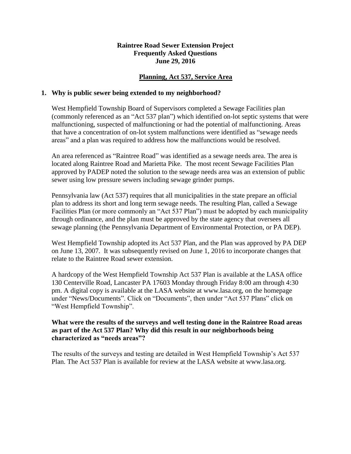### **Raintree Road Sewer Extension Project Frequently Asked Questions June 29, 2016**

# **Planning, Act 537, Service Area**

#### **1. Why is public sewer being extended to my neighborhood?**

West Hempfield Township Board of Supervisors completed a Sewage Facilities plan (commonly referenced as an "Act 537 plan") which identified on-lot septic systems that were malfunctioning, suspected of malfunctioning or had the potential of malfunctioning. Areas that have a concentration of on-lot system malfunctions were identified as "sewage needs areas" and a plan was required to address how the malfunctions would be resolved.

An area referenced as "Raintree Road" was identified as a sewage needs area. The area is located along Raintree Road and Marietta Pike. The most recent Sewage Facilities Plan approved by PADEP noted the solution to the sewage needs area was an extension of public sewer using low pressure sewers including sewage grinder pumps.

Pennsylvania law (Act 537) requires that all municipalities in the state prepare an official plan to address its short and long term sewage needs. The resulting Plan, called a Sewage Facilities Plan (or more commonly an "Act 537 Plan") must be adopted by each municipality through ordinance, and the plan must be approved by the state agency that oversees all sewage planning (the Pennsylvania Department of Environmental Protection, or PA DEP).

West Hempfield Township adopted its Act 537 Plan, and the Plan was approved by PA DEP on June 13, 2007. It was subsequently revised on June 1, 2016 to incorporate changes that relate to the Raintree Road sewer extension.

A hardcopy of the West Hempfield Township Act 537 Plan is available at the LASA office 130 Centerville Road, Lancaster PA 17603 Monday through Friday 8:00 am through 4:30 pm. A digital copy is available at the LASA website at www.lasa.org, on the homepage under "News/Documents". Click on "Documents", then under "Act 537 Plans" click on "West Hempfield Township".

# **What were the results of the surveys and well testing done in the Raintree Road areas as part of the Act 537 Plan? Why did this result in our neighborhoods being characterized as "needs areas"?**

The results of the surveys and testing are detailed in West Hempfield Township's Act 537 Plan. The Act 537 Plan is available for review at the LASA website at www.lasa.org.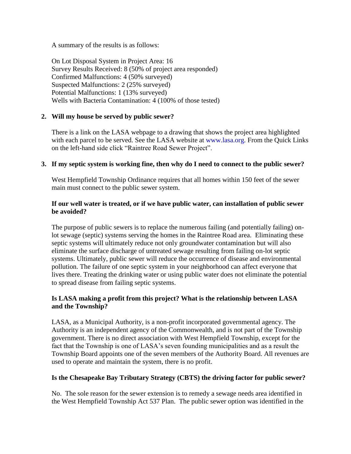A summary of the results is as follows:

On Lot Disposal System in Project Area: 16 Survey Results Received: 8 (50% of project area responded) Confirmed Malfunctions: 4 (50% surveyed) Suspected Malfunctions: 2 (25% surveyed) Potential Malfunctions: 1 (13% surveyed) Wells with Bacteria Contamination: 4 (100% of those tested)

# **2. Will my house be served by public sewer?**

There is a link on the LASA webpage to a drawing that shows the project area highlighted with each parcel to be served. See the LASA website at [www.lasa.org.](http://www.lasa.org/) From the Quick Links on the left-hand side click "Raintree Road Sewer Project".

## **3. If my septic system is working fine, then why do I need to connect to the public sewer?**

West Hempfield Township Ordinance requires that all homes within 150 feet of the sewer main must connect to the public sewer system.

## **If our well water is treated, or if we have public water, can installation of public sewer be avoided?**

The purpose of public sewers is to replace the numerous failing (and potentially failing) onlot sewage (septic) systems serving the homes in the Raintree Road area. Eliminating these septic systems will ultimately reduce not only groundwater contamination but will also eliminate the surface discharge of untreated sewage resulting from failing on-lot septic systems. Ultimately, public sewer will reduce the occurrence of disease and environmental pollution. The failure of one septic system in your neighborhood can affect everyone that lives there. Treating the drinking water or using public water does not eliminate the potential to spread disease from failing septic systems.

## **Is LASA making a profit from this project? What is the relationship between LASA and the Township?**

LASA, as a Municipal Authority, is a non-profit incorporated governmental agency. The Authority is an independent agency of the Commonwealth, and is not part of the Township government. There is no direct association with West Hempfield Township, except for the fact that the Township is one of LASA's seven founding municipalities and as a result the Township Board appoints one of the seven members of the Authority Board. All revenues are used to operate and maintain the system, there is no profit.

### **Is the Chesapeake Bay Tributary Strategy (CBTS) the driving factor for public sewer?**

No. The sole reason for the sewer extension is to remedy a sewage needs area identified in the West Hempfield Township Act 537 Plan. The public sewer option was identified in the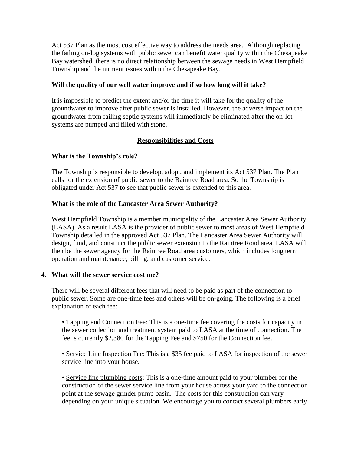Act 537 Plan as the most cost effective way to address the needs area. Although replacing the failing on-log systems with public sewer can benefit water quality within the Chesapeake Bay watershed, there is no direct relationship between the sewage needs in West Hempfield Township and the nutrient issues within the Chesapeake Bay.

# **Will the quality of our well water improve and if so how long will it take?**

It is impossible to predict the extent and/or the time it will take for the quality of the groundwater to improve after public sewer is installed. However, the adverse impact on the groundwater from failing septic systems will immediately be eliminated after the on-lot systems are pumped and filled with stone.

# **Responsibilities and Costs**

# **What is the Township's role?**

The Township is responsible to develop, adopt, and implement its Act 537 Plan. The Plan calls for the extension of public sewer to the Raintree Road area. So the Township is obligated under Act 537 to see that public sewer is extended to this area.

## **What is the role of the Lancaster Area Sewer Authority?**

West Hempfield Township is a member municipality of the Lancaster Area Sewer Authority (LASA). As a result LASA is the provider of public sewer to most areas of West Hempfield Township detailed in the approved Act 537 Plan. The Lancaster Area Sewer Authority will design, fund, and construct the public sewer extension to the Raintree Road area. LASA will then be the sewer agency for the Raintree Road area customers, which includes long term operation and maintenance, billing, and customer service.

### **4. What will the sewer service cost me?**

There will be several different fees that will need to be paid as part of the connection to public sewer. Some are one-time fees and others will be on-going. The following is a brief explanation of each fee:

• Tapping and Connection Fee: This is a one-time fee covering the costs for capacity in the sewer collection and treatment system paid to LASA at the time of connection. The fee is currently \$2,380 for the Tapping Fee and \$750 for the Connection fee.

• Service Line Inspection Fee: This is a \$35 fee paid to LASA for inspection of the sewer service line into your house.

• Service line plumbing costs: This is a one-time amount paid to your plumber for the construction of the sewer service line from your house across your yard to the connection point at the sewage grinder pump basin. The costs for this construction can vary depending on your unique situation. We encourage you to contact several plumbers early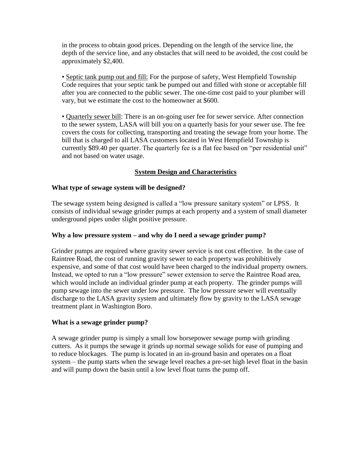in the process to obtain good prices. Depending on the length of the service line, the depth of the service line, and any obstacles that will need to be avoided, the cost could be approximately \$2,400.

• Septic tank pump out and fill: For the purpose of safety, West Hempfield Township Code requires that your septic tank be pumped out and filled with stone or acceptable fill after you are connected to the public sewer. The one-time cost paid to your plumber will vary, but we estimate the cost to the homeowner at \$600.

• Quarterly sewer bill: There is an on-going user fee for sewer service. After connection to the sewer system, LASA will bill you on a quarterly basis for your sewer use. The fee covers the costs for collecting, transporting and treating the sewage from your home. The bill that is charged to all LASA customers located in West Hempfield Township is currently \$89.40 per quarter. The quarterly fee is a flat fee based on "per residential unit" and not based on water usage.

# **System Design and Characteristics**

# **What type of sewage system will be designed?**

The sewage system being designed is called a "low pressure sanitary system" or LPSS. It consists of individual sewage grinder pumps at each property and a system of small diameter underground pipes under slight positive pressure.

# **Why a low pressure system – and why do I need a sewage grinder pump?**

Grinder pumps are required where gravity sewer service is not cost effective. In the case of Raintree Road, the cost of running gravity sewer to each property was prohibitively expensive, and some of that cost would have been charged to the individual property owners. Instead, we opted to run a "low pressure" sewer extension to serve the Raintree Road area, which would include an individual grinder pump at each property. The grinder pumps will pump sewage into the sewer under low pressure. The low pressure sewer will eventually discharge to the LASA gravity system and ultimately flow by gravity to the LASA sewage treatment plant in Washington Boro.

# **What is a sewage grinder pump?**

A sewage grinder pump is simply a small low horsepower sewage pump with grinding cutters. As it pumps the sewage it grinds up normal sewage solids for ease of pumping and to reduce blockages. The pump is located in an in-ground basin and operates on a float system – the pump starts when the sewage level reaches a pre-set high level float in the basin and will pump down the basin until a low level float turns the pump off.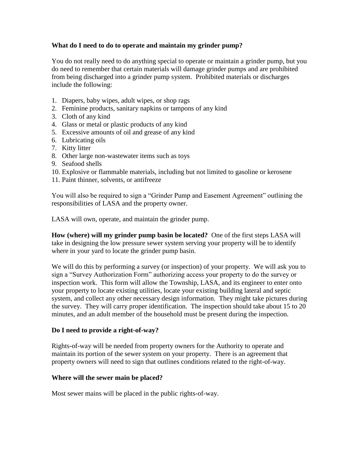# **What do I need to do to operate and maintain my grinder pump?**

You do not really need to do anything special to operate or maintain a grinder pump, but you do need to remember that certain materials will damage grinder pumps and are prohibited from being discharged into a grinder pump system. Prohibited materials or discharges include the following:

- 1. Diapers, baby wipes, adult wipes, or shop rags
- 2. Feminine products, sanitary napkins or tampons of any kind
- 3. Cloth of any kind
- 4. Glass or metal or plastic products of any kind
- 5. Excessive amounts of oil and grease of any kind
- 6. Lubricating oils
- 7. Kitty litter
- 8. Other large non-wastewater items such as toys
- 9. Seafood shells
- 10. Explosive or flammable materials, including but not limited to gasoline or kerosene
- 11. Paint thinner, solvents, or antifreeze

You will also be required to sign a "Grinder Pump and Easement Agreement" outlining the responsibilities of LASA and the property owner.

LASA will own, operate, and maintain the grinder pump.

**How (where) will my grinder pump basin be located?** One of the first steps LASA will take in designing the low pressure sewer system serving your property will be to identify where in your yard to locate the grinder pump basin.

We will do this by performing a survey (or inspection) of your property. We will ask you to sign a "Survey Authorization Form" authorizing access your property to do the survey or inspection work. This form will allow the Township, LASA, and its engineer to enter onto your property to locate existing utilities, locate your existing building lateral and septic system, and collect any other necessary design information. They might take pictures during the survey. They will carry proper identification. The inspection should take about 15 to 20 minutes, and an adult member of the household must be present during the inspection.

# **Do I need to provide a right-of-way?**

Rights-of-way will be needed from property owners for the Authority to operate and maintain its portion of the sewer system on your property. There is an agreement that property owners will need to sign that outlines conditions related to the right-of-way.

### **Where will the sewer main be placed?**

Most sewer mains will be placed in the public rights-of-way.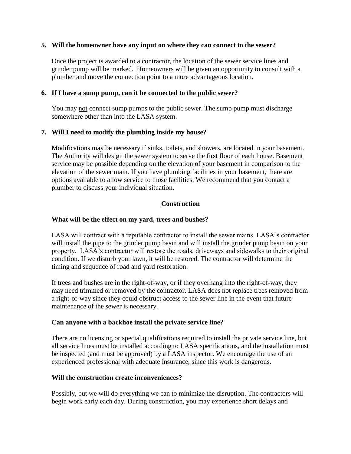### **5. Will the homeowner have any input on where they can connect to the sewer?**

Once the project is awarded to a contractor, the location of the sewer service lines and grinder pump will be marked. Homeowners will be given an opportunity to consult with a plumber and move the connection point to a more advantageous location.

## **6. If I have a sump pump, can it be connected to the public sewer?**

You may not connect sump pumps to the public sewer. The sump pump must discharge somewhere other than into the LASA system.

## **7. Will I need to modify the plumbing inside my house?**

Modifications may be necessary if sinks, toilets, and showers, are located in your basement. The Authority will design the sewer system to serve the first floor of each house. Basement service may be possible depending on the elevation of your basement in comparison to the elevation of the sewer main. If you have plumbing facilities in your basement, there are options available to allow service to those facilities. We recommend that you contact a plumber to discuss your individual situation.

## **Construction**

## **What will be the effect on my yard, trees and bushes?**

LASA will contract with a reputable contractor to install the sewer mains. LASA's contractor will install the pipe to the grinder pump basin and will install the grinder pump basin on your property. LASA's contractor will restore the roads, driveways and sidewalks to their original condition. If we disturb your lawn, it will be restored. The contractor will determine the timing and sequence of road and yard restoration.

If trees and bushes are in the right-of-way, or if they overhang into the right-of-way, they may need trimmed or removed by the contractor. LASA does not replace trees removed from a right-of-way since they could obstruct access to the sewer line in the event that future maintenance of the sewer is necessary.

### **Can anyone with a backhoe install the private service line?**

There are no licensing or special qualifications required to install the private service line, but all service lines must be installed according to LASA specifications, and the installation must be inspected (and must be approved) by a LASA inspector. We encourage the use of an experienced professional with adequate insurance, since this work is dangerous.

### **Will the construction create inconveniences?**

Possibly, but we will do everything we can to minimize the disruption. The contractors will begin work early each day. During construction, you may experience short delays and